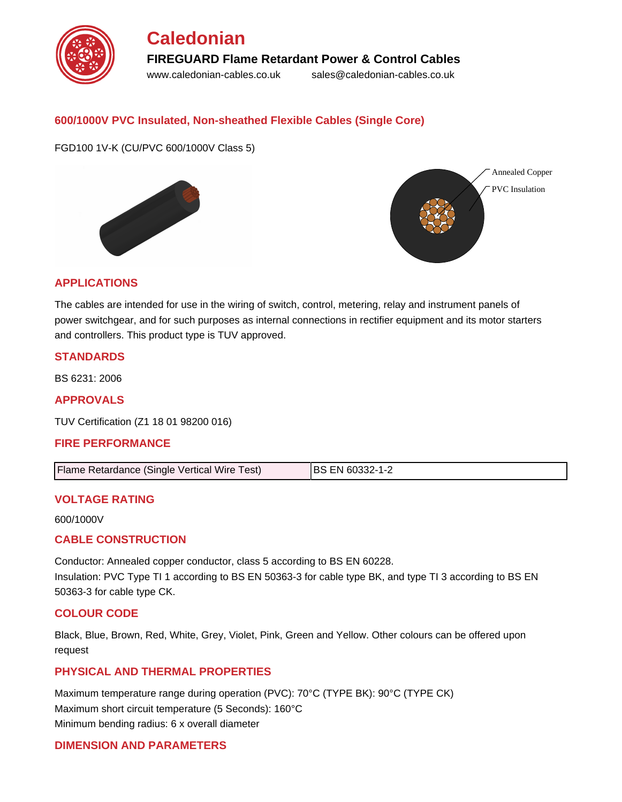

### **600/1000V PVC Insulated, Non-sheathed Flexible Cables (Single Core)**

FGD100 1V-K (CU/PVC 600/1000V Class 5)





#### **APPLICATIONS**

The cables are intended for use in the wiring of switch, control, metering, relay and instrument panels of power switchgear, and for such purposes as internal connections in rectifier equipment and its motor starters and controllers. This product type is TUV approved.

#### **STANDARDS**

BS 6231: 2006

**APPROVALS**

TUV Certification (Z1 18 01 98200 016)

#### **FIRE PERFORMANCE**

| Flame Retardance (Single Vertical Wire Test) | <b>IBS EN 60332-1-2</b> |
|----------------------------------------------|-------------------------|
|                                              |                         |

#### **VOLTAGE RATING**

600/1000V

#### **CABLE CONSTRUCTION**

Conductor: Annealed copper conductor, class 5 according to BS EN 60228. Insulation: PVC Type TI 1 according to BS EN 50363-3 for cable type BK, and type TI 3 according to BS EN 50363-3 for cable type CK.

#### **COLOUR CODE**

Black, Blue, Brown, Red, White, Grey, Violet, Pink, Green and Yellow. Other colours can be offered upon request

#### **PHYSICAL AND THERMAL PROPERTIES**

Maximum temperature range during operation (PVC): 70°C (TYPE BK): 90°C (TYPE CK) Maximum short circuit temperature (5 Seconds): 160°C Minimum bending radius: 6 x overall diameter

#### **DIMENSION AND PARAMETERS**